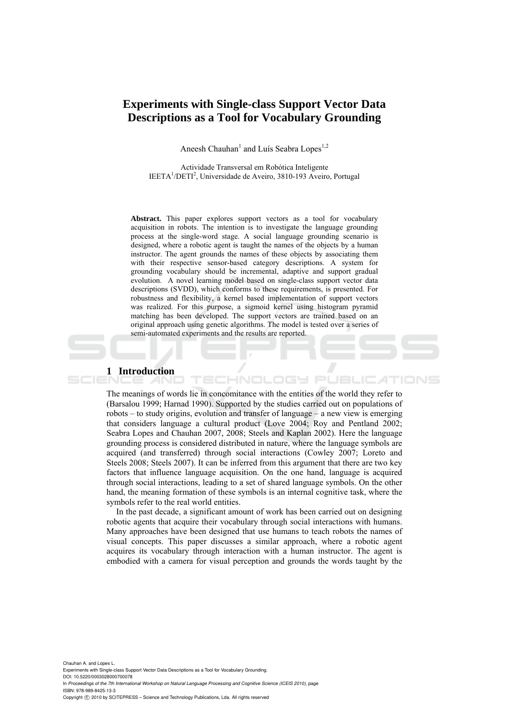# **Experiments with Single-class Support Vector Data Descriptions as a Tool for Vocabulary Grounding**

Aneesh Chauhan<sup>1</sup> and Luís Seabra Lopes<sup>1,2</sup>

Actividade Transversal em Robótica Inteligente IEETA<sup>1</sup>/DETI<sup>2</sup>, Universidade de Aveiro, 3810-193 Aveiro, Portugal

**Abstract.** This paper explores support vectors as a tool for vocabulary acquisition in robots. The intention is to investigate the language grounding process at the single-word stage. A social language grounding scenario is designed, where a robotic agent is taught the names of the objects by a human instructor. The agent grounds the names of these objects by associating them with their respective sensor-based category descriptions. A system for grounding vocabulary should be incremental, adaptive and support gradual evolution. A novel learning model based on single-class support vector data descriptions (SVDD), which conforms to these requirements, is presented. For robustness and flexibility, a kernel based implementation of support vectors was realized. For this purpose, a sigmoid kernel using histogram pyramid matching has been developed. The support vectors are trained based on an original approach using genetic algorithms. The model is tested over a series of semi-automated experiments and the results are reported.

#### **1 Introduction**

The meanings of words lie in concomitance with the entities of the world they refer to (Barsalou 1999; Harnad 1990). Supported by the studies carried out on populations of robots – to study origins, evolution and transfer of language – a new view is emerging that considers language a cultural product (Love 2004; Roy and Pentland 2002; Seabra Lopes and Chauhan 2007, 2008; Steels and Kaplan 2002). Here the language grounding process is considered distributed in nature, where the language symbols are acquired (and transferred) through social interactions (Cowley 2007; Loreto and Steels 2008; Steels 2007). It can be inferred from this argument that there are two key factors that influence language acquisition. On the one hand, language is acquired through social interactions, leading to a set of shared language symbols. On the other hand, the meaning formation of these symbols is an internal cognitive task, where the symbols refer to the real world entities.

HNOL

ogy et

In the past decade, a significant amount of work has been carried out on designing robotic agents that acquire their vocabulary through social interactions with humans. Many approaches have been designed that use humans to teach robots the names of visual concepts. This paper discusses a similar approach, where a robotic agent acquires its vocabulary through interaction with a human instructor. The agent is embodied with a camera for visual perception and grounds the words taught by the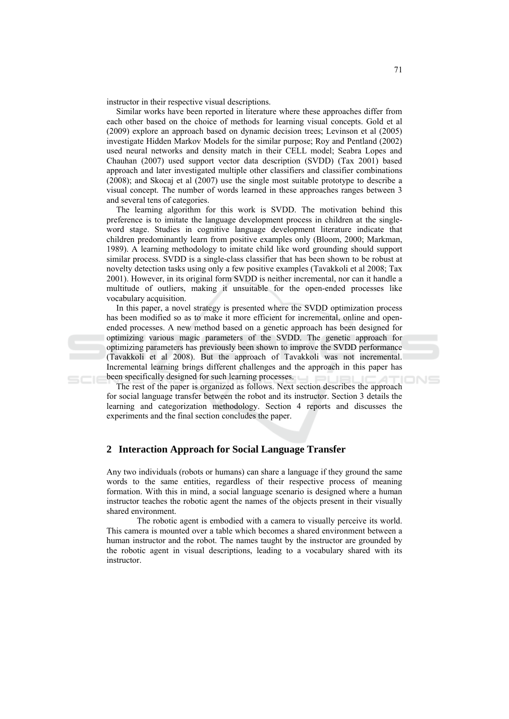instructor in their respective visual descriptions.

Similar works have been reported in literature where these approaches differ from each other based on the choice of methods for learning visual concepts. Gold et al (2009) explore an approach based on dynamic decision trees; Levinson et al (2005) investigate Hidden Markov Models for the similar purpose; Roy and Pentland (2002) used neural networks and density match in their CELL model; Seabra Lopes and Chauhan (2007) used support vector data description (SVDD) (Tax 2001) based approach and later investigated multiple other classifiers and classifier combinations  $(2008)$ ; and Skocaj et al  $(2007)$  use the single most suitable prototype to describe a visual concept. The number of words learned in these approaches ranges between 3 and several tens of categories.

The learning algorithm for this work is SVDD. The motivation behind this preference is to imitate the language development process in children at the singleword stage. Studies in cognitive language development literature indicate that children predominantly learn from positive examples only (Bloom, 2000; Markman, 1989). A learning methodology to imitate child like word grounding should support similar process. SVDD is a single-class classifier that has been shown to be robust at novelty detection tasks using only a few positive examples (Tavakkoli et al 2008; Tax 2001). However, in its original form SVDD is neither incremental, nor can it handle a multitude of outliers, making it unsuitable for the open-ended processes like vocabulary acquisition.

In this paper, a novel strategy is presented where the SVDD optimization process has been modified so as to make it more efficient for incremental, online and openended processes. A new method based on a genetic approach has been designed for optimizing various magic parameters of the SVDD. The genetic approach for optimizing parameters has previously been shown to improve the SVDD performance (Tavakkoli et al 2008). But the approach of Tavakkoli was not incremental. Incremental learning brings different challenges and the approach in this paper has been specifically designed for such learning processes.

The rest of the paper is organized as follows. Next section describes the approach for social language transfer between the robot and its instructor. Section 3 details the learning and categorization methodology. Section 4 reports and discusses the experiments and the final section concludes the paper.

#### 2 Interaction Approach for Social Language Transfer

Any two individuals (robots or humans) can share a language if they ground the same words to the same entities, regardless of their respective process of meaning formation. With this in mind, a social language scenario is designed where a human instructor teaches the robotic agent the names of the objects present in their visually shared environment.

The robotic agent is embodied with a camera to visually perceive its world. This camera is mounted over a table which becomes a shared environment between a human instructor and the robot. The names taught by the instructor are grounded by the robotic agent in visual descriptions, leading to a vocabulary shared with its instructor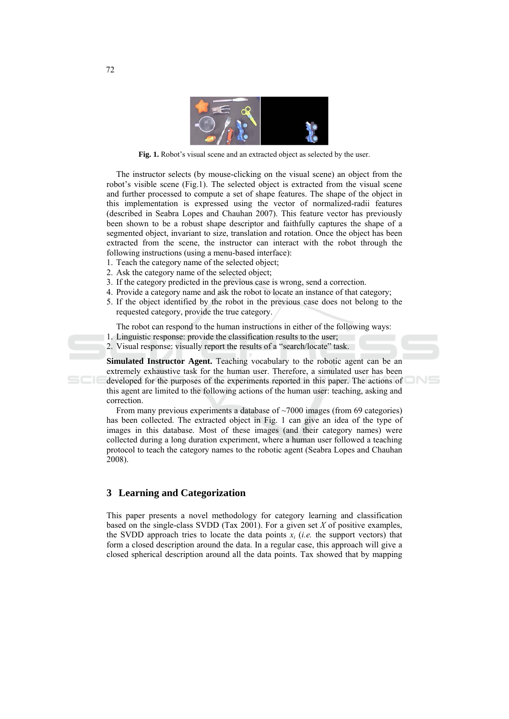

Fig. 1. Robot's visual scene and an extracted object as selected by the user.

The instructor selects (by mouse-clicking on the visual scene) an object from the robot's visible scene (Fig.1). The selected object is extracted from the visual scene and further processed to compute a set of shape features. The shape of the object in this implementation is expressed using the vector of normalized-radii features (described in Seabra Lopes and Chauhan 2007). This feature vector has previously been shown to be a robust shape descriptor and faithfully captures the shape of a segmented object, invariant to size, translation and rotation. Once the object has been extracted from the scene, the instructor can interact with the robot through the following instructions (using a menu-based interface):

- 1. Teach the category name of the selected object;
- 2. Ask the category name of the selected object;
- 3. If the category predicted in the previous case is wrong, send a correction.
- 4. Provide a category name and ask the robot to locate an instance of that category;
- 5. If the object identified by the robot in the previous case does not belong to the requested category, provide the true category.

The robot can respond to the human instructions in either of the following ways:

- 1. Linguistic response: provide the classification results to the user;
- 2. Visual response: visually report the results of a "search/locate" task.

**Simulated Instructor Agent.** Teaching vocabulary to the robotic agent can be an extremely exhaustive task for the human user. Therefore, a simulated user has been developed for the purposes of the experiments reported in this paper. The actions of this agent are limited to the following actions of the human user: teaching, asking and correction.

From many previous experiments a database of  $\sim$ 7000 images (from 69 categories) has been collected. The extracted object in Fig. 1 can give an idea of the type of images in this database. Most of these images (and their category names) were collected during a long duration experiment, where a human user followed a teaching protocol to teach the category names to the robotic agent (Seabra Lopes and Chauhan 2008).

## 3 Learning and Categorization

This paper presents a novel methodology for category learning and classification based on the single-class SVDD (Tax 2001). For a given set  $X$  of positive examples, the SVDD approach tries to locate the data points  $x_i$  (*i.e.* the support vectors) that form a closed description around the data. In a regular case, this approach will give a closed spherical description around all the data points. Tax showed that by mapping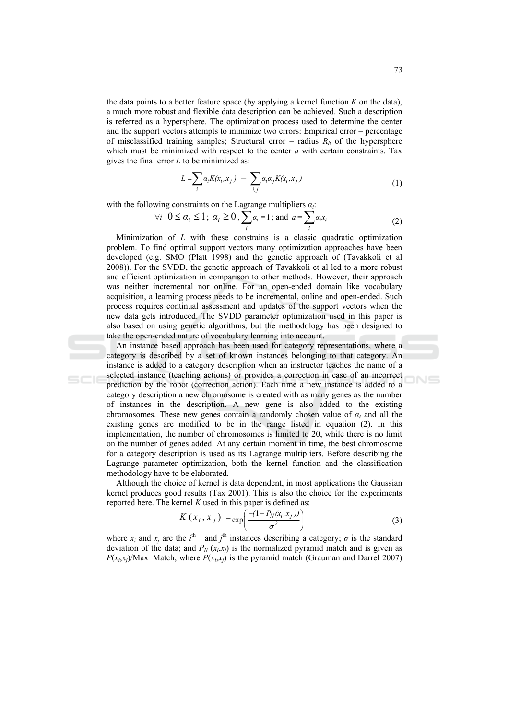the data points to a better feature space (by applying a kernel function  $K$  on the data), a much more robust and flexible data description can be achieved. Such a description is referred as a hypersphere. The optimization process used to determine the center and the support vectors attempts to minimize two errors: Empirical error – percentage of misclassified training samples; Structural error – radius  $R<sub>h</sub>$  of the hypersphere which must be minimized with respect to the center  $a$  with certain constraints. Tax gives the final error  $L$  to be minimized as:

$$
L = \sum_{i} a_i K(x_i, x_j) - \sum_{i,j} a_i a_j K(x_i, x_j)
$$
\n<sup>(1)</sup>

with the following constraints on the Lagrange multipliers  $a_i$ .

$$
\forall i \ \ 0 \le \alpha_i \le 1; \ \alpha_i \ge 0, \sum_i \alpha_i = 1; \text{and} \ \ a = \sum_i \alpha_i x_i \tag{2}
$$

Minimization of  $L$  with these constrains is a classic quadratic optimization problem. To find optimal support vectors many optimization approaches have been developed (e.g. SMO (Platt 1998) and the genetic approach of (Tavakkoli et al 2008)). For the SVDD, the genetic approach of Tavakkoli et al led to a more robust and efficient optimization in comparison to other methods. However, their approach was neither incremental nor online. For an open-ended domain like vocabulary acquisition, a learning process needs to be incremental, online and open-ended. Such process requires continual assessment and updates of the support vectors when the new data gets introduced. The SVDD parameter optimization used in this paper is also based on using genetic algorithms, but the methodology has been designed to take the open-ended nature of vocabulary learning into account.

An instance based approach has been used for category representations, where a category is described by a set of known instances belonging to that category. An instance is added to a category description when an instructor teaches the name of a selected instance (teaching actions) or provides a correction in case of an incorrect prediction by the robot (correction action). Each time a new instance is added to a category description a new chromosome is created with as many genes as the number of instances in the description. A new gene is also added to the existing chromosomes. These new genes contain a randomly chosen value of  $\alpha_i$  and all the existing genes are modified to be in the range listed in equation (2). In this implementation, the number of chromosomes is limited to 20, while there is no limit on the number of genes added. At any certain moment in time, the best chromosome for a category description is used as its Lagrange multipliers. Before describing the Lagrange parameter optimization, both the kernel function and the classification methodology have to be elaborated.

Although the choice of kernel is data dependent, in most applications the Gaussian kernel produces good results (Tax 2001). This is also the choice for the experiments reported here. The kernel  $K$  used in this paper is defined as:

$$
K\left(x_{i}, x_{j}\right) = \exp\left(\frac{-(1 - P_{N}(x_{i}, x_{j}))}{\sigma^{2}}\right)
$$
\n(3)

where  $x_i$  and  $x_j$  are the  $i^{\text{th}}$  and  $j^{\text{th}}$  instances describing a category;  $\sigma$  is the standard deviation of the data; and  $P_N(x,x)$  is the normalized pyramid match and is given as  $P(x_i,x_i)/\text{Max}$  Match, where  $P(x_i,x_i)$  is the pyramid match (Grauman and Darrel 2007)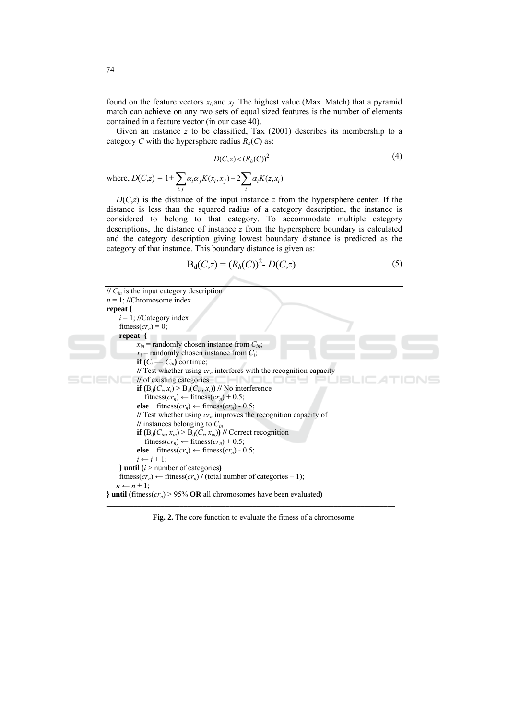found on the feature vectors  $x_i$  and  $x_i$ . The highest value (Max Match) that a pyramid match can achieve on any two sets of equal sized features is the number of elements contained in a feature vector (in our case 40).

Given an instance  $z$  to be classified, Tax (2001) describes its membership to a category C with the hypersphere radius  $R_h(C)$  as:

$$
D(C, z) < (R_h(C))^2 \tag{4}
$$

where,  $D(C,z) = 1 + \sum_{i,j} \alpha_i \alpha_j K(x_i, x_j) - 2 \sum_i \alpha_i K(z, x_i)$ 

 $D(C,z)$  is the distance of the input instance z from the hypersphere center. If the distance is less than the squared radius of a category description, the instance is considered to belong to that category. To accommodate multiple category descriptions, the distance of instance  $z$  from the hypersphere boundary is calculated and the category description giving lowest boundary distance is predicted as the category of that instance. This boundary distance is given as:

$$
B_d(C,z) = (R_h(C))^2 - D(C,z)
$$
 (5)

```
\overline{U C_{in}} is the input category description
n = 1; //Chromosome index
repeat {
     i = 1; //Category index
     fitness(c r_n) = 0;
     repeat {
           x_{in} = randomly chosen instance from C_{in};
           x_i = randomly chosen instance from C_i;
           if (C_i = C_{in}) continue;
           // Test whether using cr_n interferes with the recognition capacity
           // of existing categories
           if (B_d(C_i, x_i) > B_d(C_{in}, x_i)) // No interference
               fitness(c r_n) \leftarrow fitness(c r_n) + 0.5;
           else fitness(c r_n) \leftarrow fitness(c r_n) - 0.5;
           // Test whether using cr_n improves the recognition capacity of
           // instances belonging to C_{in}if (B_d(C_{in}, x_{in}) > B_d(C_i, x_{in})) // Correct recognition
               fitness(c r_n) \leftarrow fitness(c r_n) + 0.5;
           else fitness(c r_n) \leftarrow fitness(c r_n) - 0.5;
           i \leftarrow i + 1;} until (i > number of categories)
    fitness(cr_n) \leftarrow fitness(cr_n) / (total number of categories - 1);
   n \leftarrow n + 1l until (fitness(cr<sub>n</sub>) > 95% OR all chromosomes have been evaluated)
```
Fig. 2. The core function to evaluate the fitness of a chromosome.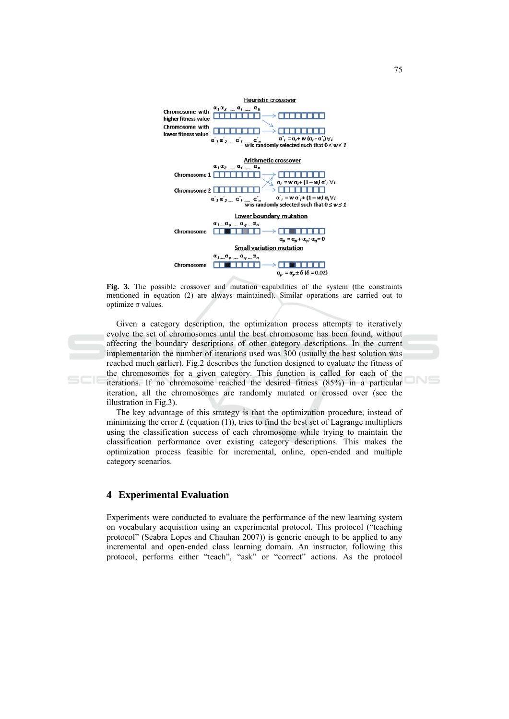

Fig. 3. The possible crossover and mutation capabilities of the system (the constraints mentioned in equation (2) are always maintained). Similar operations are carried out to optimize  $\sigma$  values.

Given a category description, the optimization process attempts to iteratively evolve the set of chromosomes until the best chromosome has been found, without affecting the boundary descriptions of other category descriptions. In the current implementation the number of iterations used was 300 (usually the best solution was reached much earlier). Fig.2 describes the function designed to evaluate the fitness of the chromosomes for a given category. This function is called for each of the iterations. If no chromosome reached the desired fitness (85%) in a particular iteration, all the chromosomes are randomly mutated or crossed over (see the illustration in Fig.3).

The key advantage of this strategy is that the optimization procedure, instead of minimizing the error  $L$  (equation (1)), tries to find the best set of Lagrange multipliers using the classification success of each chromosome while trying to maintain the classification performance over existing category descriptions. This makes the optimization process feasible for incremental, online, open-ended and multiple category scenarios.

## **4** Experimental Evaluation

Experiments were conducted to evaluate the performance of the new learning system on vocabulary acquisition using an experimental protocol. This protocol ("teaching protocol" (Seabra Lopes and Chauhan 2007)) is generic enough to be applied to any incremental and open-ended class learning domain. An instructor, following this protocol, performs either "teach", "ask" or "correct" actions. As the protocol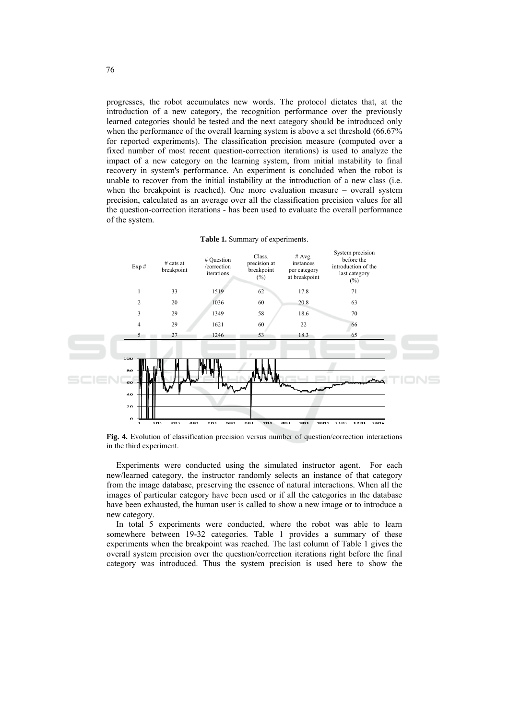progresses, the robot accumulates new words. The protocol dictates that, at the introduction of a new category, the recognition performance over the previously learned categories should be tested and the next category should be introduced only when the performance of the overall learning system is above a set threshold (66.67% for reported experiments). The classification precision measure (computed over a fixed number of most recent question-correction iterations) is used to analyze the impact of a new category on the learning system, from initial instability to final recovery in system's performance. An experiment is concluded when the robot is unable to recover from the initial instability at the introduction of a new class (i.e. when the breakpoint is reached). One more evaluation measure  $-$  overall system precision, calculated as an average over all the classification precision values for all the question-correction iterations - has been used to evaluate the overall performance of the system.



|  | <b>Table 1.</b> Summary of experiments. |
|--|-----------------------------------------|
|  |                                         |

Fig. 4. Evolution of classification precision versus number of question/correction interactions in the third experiment.

Experiments were conducted using the simulated instructor agent. For each new/learned category, the instructor randomly selects an instance of that category from the image database, preserving the essence of natural interactions. When all the images of particular category have been used or if all the categories in the database have been exhausted, the human user is called to show a new image or to introduce a new category.

In total 5 experiments were conducted, where the robot was able to learn somewhere between 19-32 categories. Table 1 provides a summary of these experiments when the breakpoint was reached. The last column of Table 1 gives the overall system precision over the question/correction iterations right before the final category was introduced. Thus the system precision is used here to show the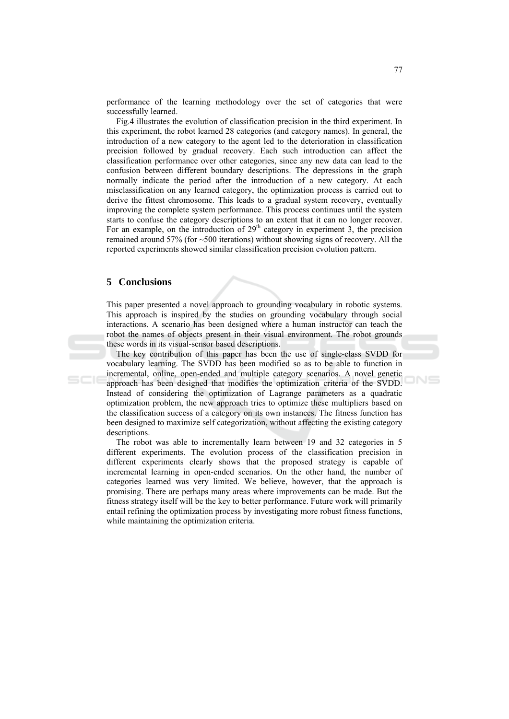performance of the learning methodology over the set of categories that were successfully learned.

Fig.4 illustrates the evolution of classification precision in the third experiment. In this experiment, the robot learned 28 categories (and category names). In general, the introduction of a new category to the agent led to the deterioration in classification precision followed by gradual recovery. Each such introduction can affect the classification performance over other categories, since any new data can lead to the confusion between different boundary descriptions. The depressions in the graph normally indicate the period after the introduction of a new category. At each misclassification on any learned category, the optimization process is carried out to derive the fittest chromosome. This leads to a gradual system recovery, eventually improving the complete system performance. This process continues until the system starts to confuse the category descriptions to an extent that it can no longer recover. For an example, on the introduction of  $29<sup>th</sup>$  category in experiment 3, the precision remained around 57% (for  $\sim$  500 iterations) without showing signs of recovery. All the reported experiments showed similar classification precision evolution pattern.

#### 5 Conclusions

This paper presented a novel approach to grounding vocabulary in robotic systems. This approach is inspired by the studies on grounding vocabulary through social interactions. A scenario has been designed where a human instructor can teach the robot the names of objects present in their visual environment. The robot grounds these words in its visual-sensor based descriptions.

The key contribution of this paper has been the use of single-class SVDD for vocabulary learning. The SVDD has been modified so as to be able to function in incremental, online, open-ended and multiple category scenarios. A novel genetic approach has been designed that modifies the optimization criteria of the SVDD. Instead of considering the optimization of Lagrange parameters as a quadratic optimization problem, the new approach tries to optimize these multipliers based on the classification success of a category on its own instances. The fitness function has been designed to maximize self categorization, without affecting the existing category descriptions.

The robot was able to incrementally learn between 19 and 32 categories in 5 different experiments. The evolution process of the classification precision in different experiments clearly shows that the proposed strategy is capable of incremental learning in open-ended scenarios. On the other hand, the number of categories learned was very limited. We believe, however, that the approach is promising. There are perhaps many areas where improvements can be made. But the fitness strategy itself will be the key to better performance. Future work will primarily entail refining the optimization process by investigating more robust fitness functions, while maintaining the optimization criteria.